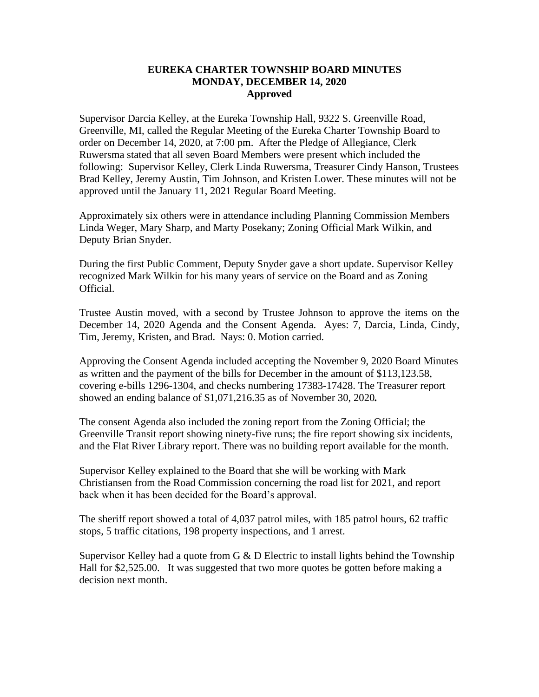## **EUREKA CHARTER TOWNSHIP BOARD MINUTES MONDAY, DECEMBER 14, 2020 Approved**

Supervisor Darcia Kelley, at the Eureka Township Hall, 9322 S. Greenville Road, Greenville, MI, called the Regular Meeting of the Eureka Charter Township Board to order on December 14, 2020, at 7:00 pm. After the Pledge of Allegiance, Clerk Ruwersma stated that all seven Board Members were present which included the following: Supervisor Kelley, Clerk Linda Ruwersma, Treasurer Cindy Hanson, Trustees Brad Kelley, Jeremy Austin, Tim Johnson, and Kristen Lower. These minutes will not be approved until the January 11, 2021 Regular Board Meeting.

Approximately six others were in attendance including Planning Commission Members Linda Weger, Mary Sharp, and Marty Posekany; Zoning Official Mark Wilkin, and Deputy Brian Snyder.

During the first Public Comment, Deputy Snyder gave a short update. Supervisor Kelley recognized Mark Wilkin for his many years of service on the Board and as Zoning Official.

Trustee Austin moved, with a second by Trustee Johnson to approve the items on the December 14, 2020 Agenda and the Consent Agenda. Ayes: 7, Darcia, Linda, Cindy, Tim, Jeremy, Kristen, and Brad. Nays: 0. Motion carried.

Approving the Consent Agenda included accepting the November 9, 2020 Board Minutes as written and the payment of the bills for December in the amount of \$113,123.58, covering e-bills 1296-1304, and checks numbering 17383-17428. The Treasurer report showed an ending balance of \$1,071,216.35 as of November 30, 2020*.*

The consent Agenda also included the zoning report from the Zoning Official; the Greenville Transit report showing ninety-five runs; the fire report showing six incidents, and the Flat River Library report. There was no building report available for the month.

Supervisor Kelley explained to the Board that she will be working with Mark Christiansen from the Road Commission concerning the road list for 2021, and report back when it has been decided for the Board's approval.

The sheriff report showed a total of 4,037 patrol miles, with 185 patrol hours, 62 traffic stops, 5 traffic citations, 198 property inspections, and 1 arrest.

Supervisor Kelley had a quote from  $G \& D$  Electric to install lights behind the Township Hall for \$2,525.00. It was suggested that two more quotes be gotten before making a decision next month.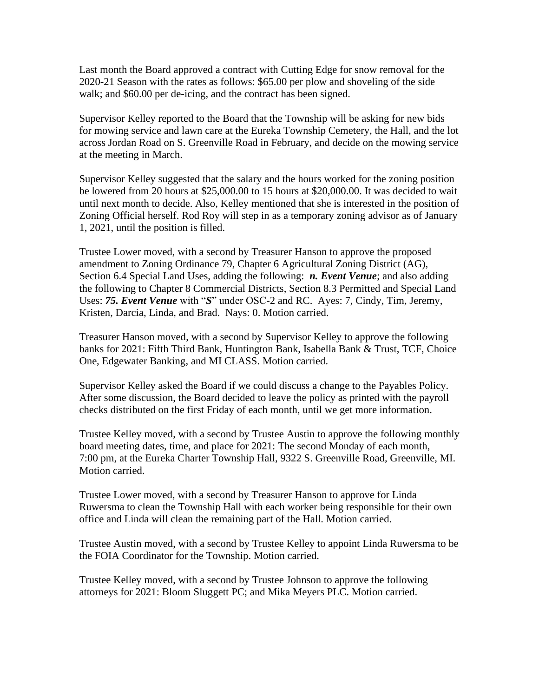Last month the Board approved a contract with Cutting Edge for snow removal for the 2020-21 Season with the rates as follows: \$65.00 per plow and shoveling of the side walk; and \$60.00 per de-icing, and the contract has been signed.

Supervisor Kelley reported to the Board that the Township will be asking for new bids for mowing service and lawn care at the Eureka Township Cemetery, the Hall, and the lot across Jordan Road on S. Greenville Road in February, and decide on the mowing service at the meeting in March.

Supervisor Kelley suggested that the salary and the hours worked for the zoning position be lowered from 20 hours at \$25,000.00 to 15 hours at \$20,000.00. It was decided to wait until next month to decide. Also, Kelley mentioned that she is interested in the position of Zoning Official herself. Rod Roy will step in as a temporary zoning advisor as of January 1, 2021, until the position is filled.

Trustee Lower moved, with a second by Treasurer Hanson to approve the proposed amendment to Zoning Ordinance 79, Chapter 6 Agricultural Zoning District (AG), Section 6.4 Special Land Uses, adding the following: *n. Event Venue*; and also adding the following to Chapter 8 Commercial Districts, Section 8.3 Permitted and Special Land Uses: *75. Event Venue* with "*S*" under OSC-2 and RC. Ayes: 7, Cindy, Tim, Jeremy, Kristen, Darcia, Linda, and Brad. Nays: 0. Motion carried.

Treasurer Hanson moved, with a second by Supervisor Kelley to approve the following banks for 2021: Fifth Third Bank, Huntington Bank, Isabella Bank & Trust, TCF, Choice One, Edgewater Banking, and MI CLASS. Motion carried.

Supervisor Kelley asked the Board if we could discuss a change to the Payables Policy. After some discussion, the Board decided to leave the policy as printed with the payroll checks distributed on the first Friday of each month, until we get more information.

Trustee Kelley moved, with a second by Trustee Austin to approve the following monthly board meeting dates, time, and place for 2021: The second Monday of each month, 7:00 pm, at the Eureka Charter Township Hall, 9322 S. Greenville Road, Greenville, MI. Motion carried.

Trustee Lower moved, with a second by Treasurer Hanson to approve for Linda Ruwersma to clean the Township Hall with each worker being responsible for their own office and Linda will clean the remaining part of the Hall. Motion carried.

Trustee Austin moved, with a second by Trustee Kelley to appoint Linda Ruwersma to be the FOIA Coordinator for the Township. Motion carried.

Trustee Kelley moved, with a second by Trustee Johnson to approve the following attorneys for 2021: Bloom Sluggett PC; and Mika Meyers PLC. Motion carried.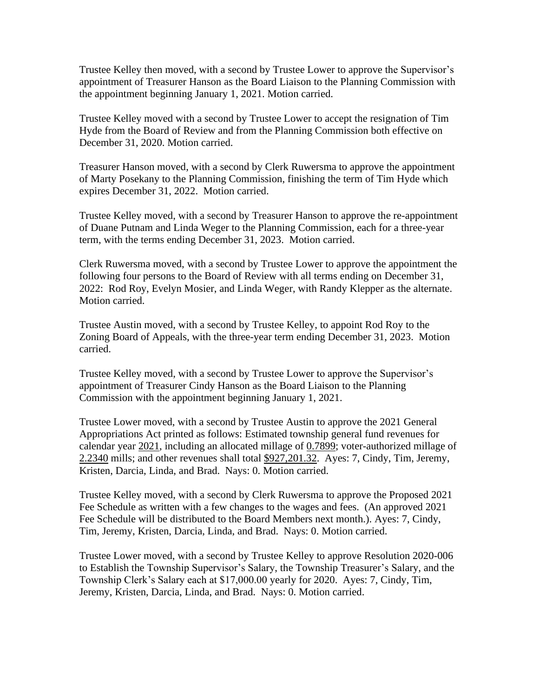Trustee Kelley then moved, with a second by Trustee Lower to approve the Supervisor's appointment of Treasurer Hanson as the Board Liaison to the Planning Commission with the appointment beginning January 1, 2021. Motion carried.

Trustee Kelley moved with a second by Trustee Lower to accept the resignation of Tim Hyde from the Board of Review and from the Planning Commission both effective on December 31, 2020. Motion carried.

Treasurer Hanson moved, with a second by Clerk Ruwersma to approve the appointment of Marty Posekany to the Planning Commission, finishing the term of Tim Hyde which expires December 31, 2022. Motion carried.

Trustee Kelley moved, with a second by Treasurer Hanson to approve the re-appointment of Duane Putnam and Linda Weger to the Planning Commission, each for a three-year term, with the terms ending December 31, 2023. Motion carried.

Clerk Ruwersma moved, with a second by Trustee Lower to approve the appointment the following four persons to the Board of Review with all terms ending on December 31, 2022: Rod Roy, Evelyn Mosier, and Linda Weger, with Randy Klepper as the alternate. Motion carried.

Trustee Austin moved, with a second by Trustee Kelley, to appoint Rod Roy to the Zoning Board of Appeals, with the three-year term ending December 31, 2023. Motion carried.

Trustee Kelley moved, with a second by Trustee Lower to approve the Supervisor's appointment of Treasurer Cindy Hanson as the Board Liaison to the Planning Commission with the appointment beginning January 1, 2021.

Trustee Lower moved, with a second by Trustee Austin to approve the 2021 General Appropriations Act printed as follows: Estimated township general fund revenues for calendar year 2021, including an allocated millage of 0.7899; voter-authorized millage of  $2.2340$  mills; and other revenues shall total  $$927,201.32$ . Ayes: 7, Cindy, Tim, Jeremy, Kristen, Darcia, Linda, and Brad. Nays: 0. Motion carried.

Trustee Kelley moved, with a second by Clerk Ruwersma to approve the Proposed 2021 Fee Schedule as written with a few changes to the wages and fees. (An approved 2021 Fee Schedule will be distributed to the Board Members next month.). Ayes: 7, Cindy, Tim, Jeremy, Kristen, Darcia, Linda, and Brad. Nays: 0. Motion carried.

Trustee Lower moved, with a second by Trustee Kelley to approve Resolution 2020-006 to Establish the Township Supervisor's Salary, the Township Treasurer's Salary, and the Township Clerk's Salary each at \$17,000.00 yearly for 2020. Ayes: 7, Cindy, Tim, Jeremy, Kristen, Darcia, Linda, and Brad. Nays: 0. Motion carried.